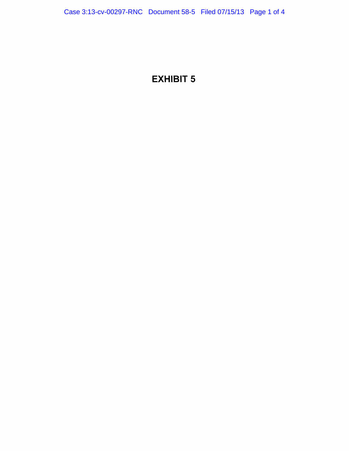## EXHIBIT 5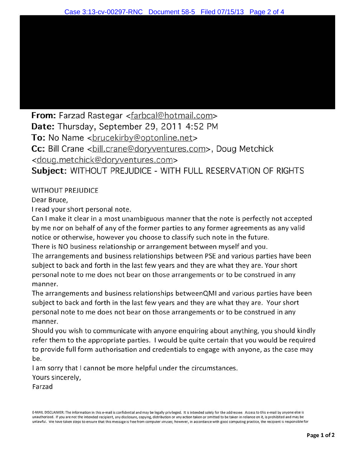**From:** Farzad Rastegar <farbcal@hotmail.com> **Date:** Thursday, September 29, 2011 4:52 PM To: No Name <brucekirby@optonline.net> Cc: Bill Crane <ball.crane@doryventures.com>, Doug Metchick <doug.metchick@doryventures.com> **Subject:** WITHOUT PREJUDICE - WITH FULL RESERVATION OF RIGHTS

## WITHOUT PREJUDICE

Dear Bruce,

I read your short personal note.

Can I make it clear in a most unambiguous manner that the note is perfectly not accepted by me nor on behalf of any of the former parties to any former agreements as any valid notice or otherwise, however you choose to classify such note in the future.

There is NO business relationship or arrangement between myself and you .

The arrangements and business relationships between PSE and various parties have been subject to back and forth in the last few years and they are what they are. Your short personal note to me does not bear on those arrangements or to be construed in any manner.

The arrangements and business relationships betweenQMI and various parties have been subject to back and forth in the last few years and they are what they are. Your short personal note to me does not bear on those arrangements or to be construed in any manner.

Should you wish to communicate with anyone enquiring about anything, you should kindly refer them to the appropriate parties. I would be quite certain that you would be required to provide full form authorisation and credentials to engage with anyone, as the case may be.

I am sorry that I cannot be more helpful under the circumstances.

Yours sincerely,

Farzad

E·MAIL DISCLAIMER: The information in this e-mail is confidential and may be legally privileged. It is intended solely lor the addressee. Access to this e-mail by anyone else is unauthorized. If you are not the intended recipient, any disclosure, copying, distribution or any action taken or omitted to be taken in reliance on it, is prohibited and may be unlawful. We have taken steps to ensure that this message is free from computer viruses; however, in accordance with good computing practice, the recipient is responsible lor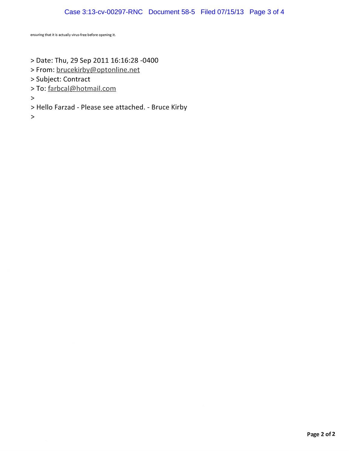## Case 3:13-cv-00297-RNC Document 58-5 Filed 07/15/13 Page 3 of 4

ensuring that it is actually virus-free before opening it.

- > Date: Thu, 29 Sep 2011 16:16:28 -0400
- >From: brucekirby@optonline.net
- >Subject: Contract
- >To: farbcal@hotmail.com

>

- >Hello Farzad- Please see attached.- Bruce Kirby
- >